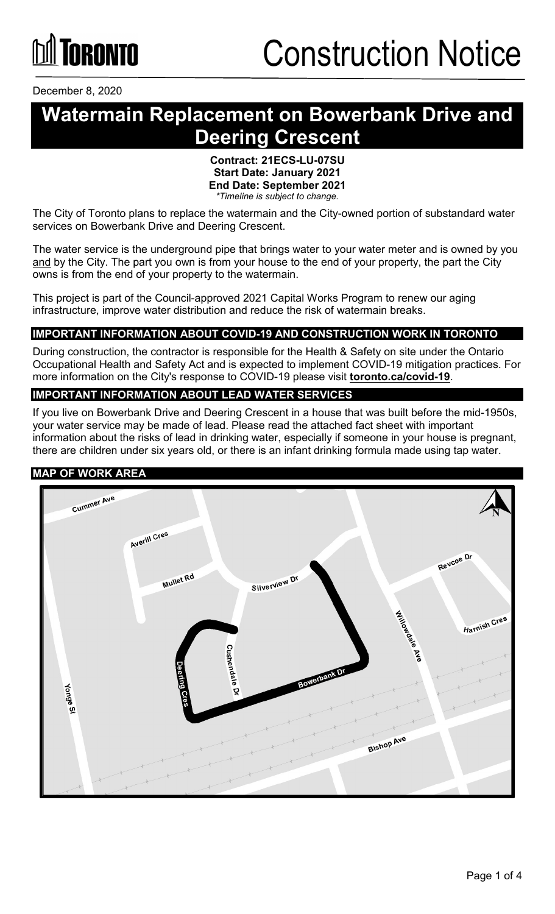# **ÍNRANTA**

December 8, 2020

### **Watermain Replacement on Bowerbank Drive and Deering Crescent**

#### **Contract: 21ECS-LU-07SU Start Date: January 2021 End Date: September 2021** *\*Timeline is subject to change.*

The City of Toronto plans to replace the watermain and the City-owned portion of substandard water services on Bowerbank Drive and Deering Crescent.

The water service is the underground pipe that brings water to your water meter and is owned by you and by the City. The part you own is from your house to the end of your property, the part the City owns is from the end of your property to the watermain.

This project is part of the Council-approved 2021 Capital Works Program to renew our aging infrastructure, improve water distribution and reduce the risk of watermain breaks.

#### **IMPORTANT INFORMATION ABOUT COVID-19 AND CONSTRUCTION WORK IN TORONTO**

During construction, the contractor is responsible for the Health & Safety on site under the Ontario Occupational Health and Safety Act and is expected to implement COVID-19 mitigation practices. For more information on the City's response to COVID-19 please visit **[toronto.ca/covid-19](http://www.toronto.ca/covid-19)**.

#### **IMPORTANT INFORMATION ABOUT LEAD WATER SERVICES**

If you live on Bowerbank Drive and Deering Crescent in a house that was built before the mid-1950s, your water service may be made of lead. Please read the attached fact sheet with important information about the risks of lead in drinking water, especially if someone in your house is pregnant, there are children under six years old, or there is an infant drinking formula made using tap water.

#### **MAP OF WORK AREA**

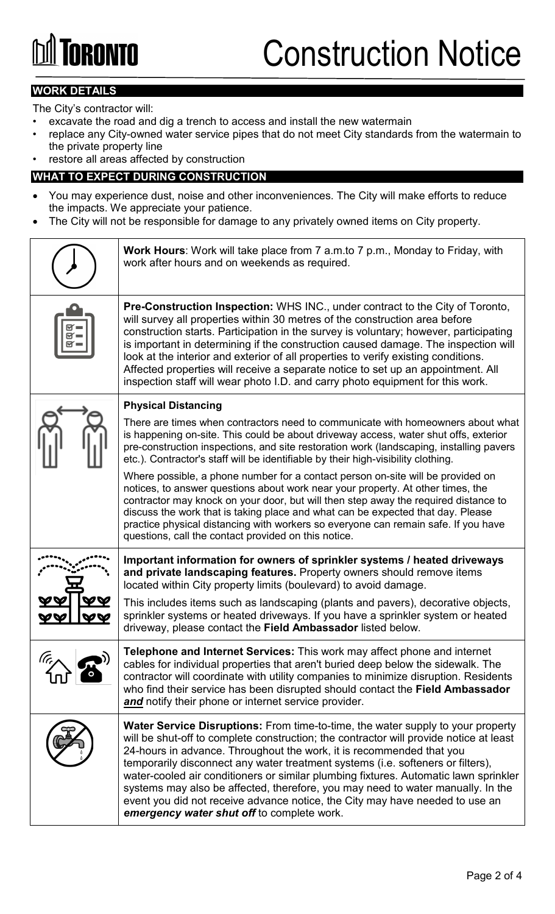# *<u>GRANTA</u>*

#### **WORK DETAILS**

The City's contractor will:

- excavate the road and dig a trench to access and install the new watermain
- replace any City-owned water service pipes that do not meet City standards from the watermain to the private property line
- restore all areas affected by construction

#### **WHAT TO EXPECT DURING CONSTRUCTION**

- You may experience dust, noise and other inconveniences. The City will make efforts to reduce the impacts. We appreciate your patience.
- The City will not be responsible for damage to any privately owned items on City property.

| <b>Work Hours:</b> Work will take place from 7 a.m.to 7 p.m., Monday to Friday, with<br>work after hours and on weekends as required.                                                                                                                                                                                                                                                                                                                                                                                                                                                                                                                |  |
|------------------------------------------------------------------------------------------------------------------------------------------------------------------------------------------------------------------------------------------------------------------------------------------------------------------------------------------------------------------------------------------------------------------------------------------------------------------------------------------------------------------------------------------------------------------------------------------------------------------------------------------------------|--|
| <b>Pre-Construction Inspection:</b> WHS INC., under contract to the City of Toronto,<br>will survey all properties within 30 metres of the construction area before<br>construction starts. Participation in the survey is voluntary; however, participating<br>is important in determining if the construction caused damage. The inspection will<br>look at the interior and exterior of all properties to verify existing conditions.<br>Affected properties will receive a separate notice to set up an appointment. All<br>inspection staff will wear photo I.D. and carry photo equipment for this work.                                       |  |
| <b>Physical Distancing</b>                                                                                                                                                                                                                                                                                                                                                                                                                                                                                                                                                                                                                           |  |
| There are times when contractors need to communicate with homeowners about what<br>is happening on-site. This could be about driveway access, water shut offs, exterior<br>pre-construction inspections, and site restoration work (landscaping, installing pavers<br>etc.). Contractor's staff will be identifiable by their high-visibility clothing.                                                                                                                                                                                                                                                                                              |  |
| Where possible, a phone number for a contact person on-site will be provided on<br>notices, to answer questions about work near your property. At other times, the<br>contractor may knock on your door, but will then step away the required distance to<br>discuss the work that is taking place and what can be expected that day. Please<br>practice physical distancing with workers so everyone can remain safe. If you have<br>questions, call the contact provided on this notice.                                                                                                                                                           |  |
| Important information for owners of sprinkler systems / heated driveways<br>and private landscaping features. Property owners should remove items<br>located within City property limits (boulevard) to avoid damage.                                                                                                                                                                                                                                                                                                                                                                                                                                |  |
| This includes items such as landscaping (plants and pavers), decorative objects,<br>sprinkler systems or heated driveways. If you have a sprinkler system or heated<br>driveway, please contact the Field Ambassador listed below.                                                                                                                                                                                                                                                                                                                                                                                                                   |  |
| <b>Telephone and Internet Services:</b> This work may affect phone and internet<br>cables for individual properties that aren't buried deep below the sidewalk. The<br>contractor will coordinate with utility companies to minimize disruption. Residents<br>who find their service has been disrupted should contact the Field Ambassador<br>and notify their phone or internet service provider.                                                                                                                                                                                                                                                  |  |
| <b>Water Service Disruptions:</b> From time-to-time, the water supply to your property<br>will be shut-off to complete construction; the contractor will provide notice at least<br>24-hours in advance. Throughout the work, it is recommended that you<br>temporarily disconnect any water treatment systems (i.e. softeners or filters),<br>water-cooled air conditioners or similar plumbing fixtures. Automatic lawn sprinkler<br>systems may also be affected, therefore, you may need to water manually. In the<br>event you did not receive advance notice, the City may have needed to use an<br>emergency water shut off to complete work. |  |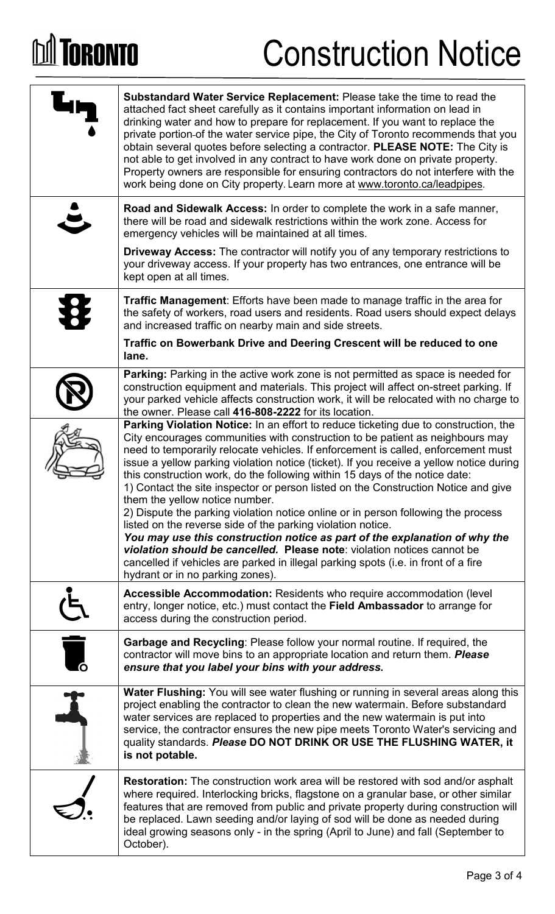# **DA TORONTO**

## Construction Notice

|                      | Substandard Water Service Replacement: Please take the time to read the<br>attached fact sheet carefully as it contains important information on lead in<br>drinking water and how to prepare for replacement. If you want to replace the<br>private portion-of the water service pipe, the City of Toronto recommends that you<br>obtain several quotes before selecting a contractor. PLEASE NOTE: The City is<br>not able to get involved in any contract to have work done on private property.<br>Property owners are responsible for ensuring contractors do not interfere with the<br>work being done on City property. Learn more at www.toronto.ca/leadpipes.                                                                                                                                                                                                                                                                                                                             |
|----------------------|----------------------------------------------------------------------------------------------------------------------------------------------------------------------------------------------------------------------------------------------------------------------------------------------------------------------------------------------------------------------------------------------------------------------------------------------------------------------------------------------------------------------------------------------------------------------------------------------------------------------------------------------------------------------------------------------------------------------------------------------------------------------------------------------------------------------------------------------------------------------------------------------------------------------------------------------------------------------------------------------------|
|                      | <b>Road and Sidewalk Access:</b> In order to complete the work in a safe manner,<br>there will be road and sidewalk restrictions within the work zone. Access for<br>emergency vehicles will be maintained at all times.                                                                                                                                                                                                                                                                                                                                                                                                                                                                                                                                                                                                                                                                                                                                                                           |
|                      | <b>Driveway Access:</b> The contractor will notify you of any temporary restrictions to<br>your driveway access. If your property has two entrances, one entrance will be<br>kept open at all times.                                                                                                                                                                                                                                                                                                                                                                                                                                                                                                                                                                                                                                                                                                                                                                                               |
|                      | <b>Traffic Management:</b> Efforts have been made to manage traffic in the area for<br>the safety of workers, road users and residents. Road users should expect delays<br>and increased traffic on nearby main and side streets.                                                                                                                                                                                                                                                                                                                                                                                                                                                                                                                                                                                                                                                                                                                                                                  |
|                      | Traffic on Bowerbank Drive and Deering Crescent will be reduced to one<br>lane.                                                                                                                                                                                                                                                                                                                                                                                                                                                                                                                                                                                                                                                                                                                                                                                                                                                                                                                    |
|                      | <b>Parking:</b> Parking in the active work zone is not permitted as space is needed for<br>construction equipment and materials. This project will affect on-street parking. If<br>your parked vehicle affects construction work, it will be relocated with no charge to<br>the owner. Please call 416-808-2222 for its location.                                                                                                                                                                                                                                                                                                                                                                                                                                                                                                                                                                                                                                                                  |
|                      | Parking Violation Notice: In an effort to reduce ticketing due to construction, the<br>City encourages communities with construction to be patient as neighbours may<br>need to temporarily relocate vehicles. If enforcement is called, enforcement must<br>issue a yellow parking violation notice (ticket). If you receive a yellow notice during<br>this construction work, do the following within 15 days of the notice date:<br>1) Contact the site inspector or person listed on the Construction Notice and give<br>them the yellow notice number.<br>2) Dispute the parking violation notice online or in person following the process<br>listed on the reverse side of the parking violation notice.<br>You may use this construction notice as part of the explanation of why the<br>violation should be cancelled. Please note: violation notices cannot be<br>cancelled if vehicles are parked in illegal parking spots (i.e. in front of a fire<br>hydrant or in no parking zones). |
|                      | <b>Accessible Accommodation: Residents who require accommodation (level)</b><br>entry, longer notice, etc.) must contact the Field Ambassador to arrange for<br>access during the construction period.                                                                                                                                                                                                                                                                                                                                                                                                                                                                                                                                                                                                                                                                                                                                                                                             |
| $\overline{\bullet}$ | <b>Garbage and Recycling: Please follow your normal routine. If required, the</b><br>contractor will move bins to an appropriate location and return them. Please<br>ensure that you label your bins with your address.                                                                                                                                                                                                                                                                                                                                                                                                                                                                                                                                                                                                                                                                                                                                                                            |
|                      | Water Flushing: You will see water flushing or running in several areas along this<br>project enabling the contractor to clean the new watermain. Before substandard<br>water services are replaced to properties and the new watermain is put into<br>service, the contractor ensures the new pipe meets Toronto Water's servicing and<br>quality standards. Please DO NOT DRINK OR USE THE FLUSHING WATER, it<br>is not potable.                                                                                                                                                                                                                                                                                                                                                                                                                                                                                                                                                                 |
|                      | <b>Restoration:</b> The construction work area will be restored with sod and/or asphalt<br>where required. Interlocking bricks, flagstone on a granular base, or other similar<br>features that are removed from public and private property during construction will<br>be replaced. Lawn seeding and/or laying of sod will be done as needed during<br>ideal growing seasons only - in the spring (April to June) and fall (September to<br>October).                                                                                                                                                                                                                                                                                                                                                                                                                                                                                                                                            |